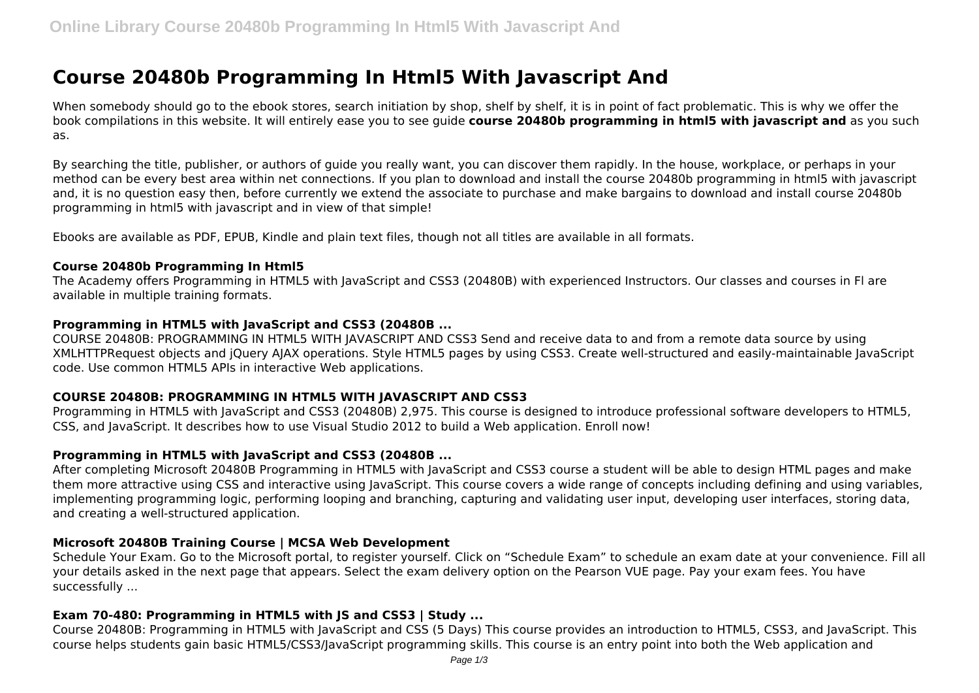# **Course 20480b Programming In Html5 With Javascript And**

When somebody should go to the ebook stores, search initiation by shop, shelf by shelf, it is in point of fact problematic. This is why we offer the book compilations in this website. It will entirely ease you to see guide **course 20480b programming in html5 with javascript and** as you such as.

By searching the title, publisher, or authors of guide you really want, you can discover them rapidly. In the house, workplace, or perhaps in your method can be every best area within net connections. If you plan to download and install the course 20480b programming in html5 with javascript and, it is no question easy then, before currently we extend the associate to purchase and make bargains to download and install course 20480b programming in html5 with javascript and in view of that simple!

Ebooks are available as PDF, EPUB, Kindle and plain text files, though not all titles are available in all formats.

#### **Course 20480b Programming In Html5**

The Academy offers Programming in HTML5 with JavaScript and CSS3 (20480B) with experienced Instructors. Our classes and courses in Fl are available in multiple training formats.

#### **Programming in HTML5 with JavaScript and CSS3 (20480B ...**

COURSE 20480B: PROGRAMMING IN HTML5 WITH JAVASCRIPT AND CSS3 Send and receive data to and from a remote data source by using XMLHTTPRequest objects and jQuery AJAX operations. Style HTML5 pages by using CSS3. Create well-structured and easily-maintainable JavaScript code. Use common HTML5 APIs in interactive Web applications.

# **COURSE 20480B: PROGRAMMING IN HTML5 WITH JAVASCRIPT AND CSS3**

Programming in HTML5 with JavaScript and CSS3 (20480B) 2,975. This course is designed to introduce professional software developers to HTML5, CSS, and JavaScript. It describes how to use Visual Studio 2012 to build a Web application. Enroll now!

# **Programming in HTML5 with JavaScript and CSS3 (20480B ...**

After completing Microsoft 20480B Programming in HTML5 with JavaScript and CSS3 course a student will be able to design HTML pages and make them more attractive using CSS and interactive using JavaScript. This course covers a wide range of concepts including defining and using variables, implementing programming logic, performing looping and branching, capturing and validating user input, developing user interfaces, storing data, and creating a well-structured application.

#### **Microsoft 20480B Training Course | MCSA Web Development**

Schedule Your Exam. Go to the Microsoft portal, to register yourself. Click on "Schedule Exam" to schedule an exam date at your convenience. Fill all your details asked in the next page that appears. Select the exam delivery option on the Pearson VUE page. Pay your exam fees. You have successfully ...

# **Exam 70-480: Programming in HTML5 with JS and CSS3 | Study ...**

Course 20480B: Programming in HTML5 with JavaScript and CSS (5 Days) This course provides an introduction to HTML5, CSS3, and JavaScript. This course helps students gain basic HTML5/CSS3/JavaScript programming skills. This course is an entry point into both the Web application and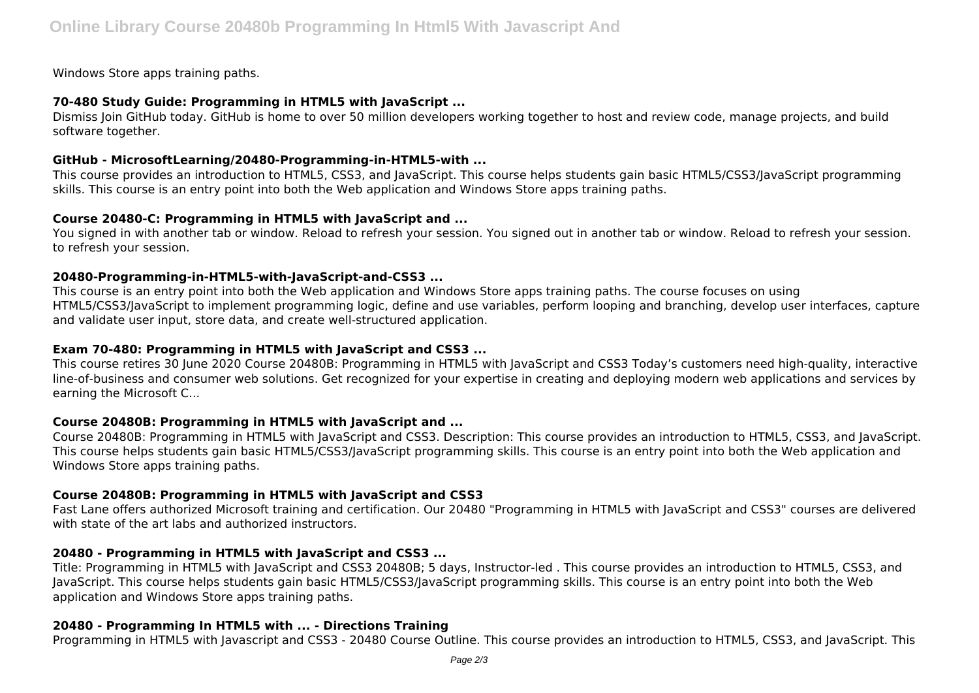Windows Store apps training paths.

# **70-480 Study Guide: Programming in HTML5 with JavaScript ...**

Dismiss Join GitHub today. GitHub is home to over 50 million developers working together to host and review code, manage projects, and build software together.

## **GitHub - MicrosoftLearning/20480-Programming-in-HTML5-with ...**

This course provides an introduction to HTML5, CSS3, and JavaScript. This course helps students gain basic HTML5/CSS3/JavaScript programming skills. This course is an entry point into both the Web application and Windows Store apps training paths.

## **Course 20480-C: Programming in HTML5 with JavaScript and ...**

You signed in with another tab or window. Reload to refresh your session. You signed out in another tab or window. Reload to refresh your session. to refresh your session.

## **20480-Programming-in-HTML5-with-JavaScript-and-CSS3 ...**

This course is an entry point into both the Web application and Windows Store apps training paths. The course focuses on using HTML5/CSS3/JavaScript to implement programming logic, define and use variables, perform looping and branching, develop user interfaces, capture and validate user input, store data, and create well-structured application.

### **Exam 70-480: Programming in HTML5 with JavaScript and CSS3 ...**

This course retires 30 June 2020 Course 20480B: Programming in HTML5 with JavaScript and CSS3 Today's customers need high-quality, interactive line-of-business and consumer web solutions. Get recognized for your expertise in creating and deploying modern web applications and services by earning the Microsoft C...

# **Course 20480B: Programming in HTML5 with JavaScript and ...**

Course 20480B: Programming in HTML5 with JavaScript and CSS3. Description: This course provides an introduction to HTML5, CSS3, and JavaScript. This course helps students gain basic HTML5/CSS3/JavaScript programming skills. This course is an entry point into both the Web application and Windows Store apps training paths.

# **Course 20480B: Programming in HTML5 with JavaScript and CSS3**

Fast Lane offers authorized Microsoft training and certification. Our 20480 "Programming in HTML5 with JavaScript and CSS3" courses are delivered with state of the art labs and authorized instructors.

# **20480 - Programming in HTML5 with JavaScript and CSS3 ...**

Title: Programming in HTML5 with JavaScript and CSS3 20480B; 5 days, Instructor-led . This course provides an introduction to HTML5, CSS3, and JavaScript. This course helps students gain basic HTML5/CSS3/JavaScript programming skills. This course is an entry point into both the Web application and Windows Store apps training paths.

#### **20480 - Programming In HTML5 with ... - Directions Training**

Programming in HTML5 with Javascript and CSS3 - 20480 Course Outline. This course provides an introduction to HTML5, CSS3, and JavaScript. This